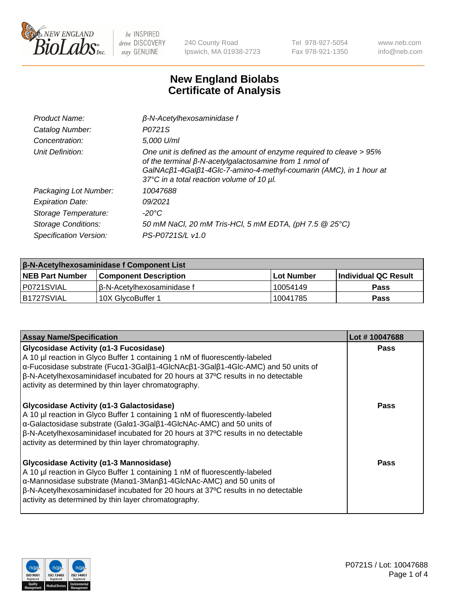

240 County Road Ipswich, MA 01938-2723 Tel 978-927-5054 Fax 978-921-1350 www.neb.com info@neb.com

## **New England Biolabs Certificate of Analysis**

| Product Name:              | $\beta$ -N-Acetylhexosaminidase f                                                                                                                                                                                                                        |
|----------------------------|----------------------------------------------------------------------------------------------------------------------------------------------------------------------------------------------------------------------------------------------------------|
| Catalog Number:            | P0721S                                                                                                                                                                                                                                                   |
| Concentration:             | 5,000 U/ml                                                                                                                                                                                                                                               |
| Unit Definition:           | One unit is defined as the amount of enzyme required to cleave > 95%<br>of the terminal $\beta$ -N-acetylgalactosamine from 1 nmol of<br>GalNAcß1-4Galß1-4Glc-7-amino-4-methyl-coumarin (AMC), in 1 hour at<br>37°C in a total reaction volume of 10 µl. |
| Packaging Lot Number:      | 10047688                                                                                                                                                                                                                                                 |
| <b>Expiration Date:</b>    | 09/2021                                                                                                                                                                                                                                                  |
| Storage Temperature:       | -20°C                                                                                                                                                                                                                                                    |
| <b>Storage Conditions:</b> | 50 mM NaCl, 20 mM Tris-HCl, 5 mM EDTA, (pH 7.5 @ 25°C)                                                                                                                                                                                                   |
| Specification Version:     | PS-P0721S/L v1.0                                                                                                                                                                                                                                         |

| <b>β-N-Acetylhexosaminidase f Component List</b> |                              |            |                             |  |  |
|--------------------------------------------------|------------------------------|------------|-----------------------------|--|--|
| <b>NEB Part Number</b>                           | <b>Component Description</b> | Lot Number | <b>Individual QC Result</b> |  |  |
| I P0721SVIAL                                     | l β-N-Acetvlhexosaminidase f | 10054149   | Pass                        |  |  |
| IB1727SVIAL                                      | 10X GlvcoBuffer 1            | 10041785   | <b>Pass</b>                 |  |  |

| <b>Assay Name/Specification</b>                                                                                                                                                                                                                                                                                                                                                                | Lot #10047688 |
|------------------------------------------------------------------------------------------------------------------------------------------------------------------------------------------------------------------------------------------------------------------------------------------------------------------------------------------------------------------------------------------------|---------------|
| Glycosidase Activity (a1-3 Fucosidase)<br>A 10 µl reaction in Glyco Buffer 1 containing 1 nM of fluorescently-labeled<br>$\alpha$ -Fucosidase substrate (Fuc $\alpha$ 1-3Gal $\beta$ 1-4GlcNAc $\beta$ 1-3Gal $\beta$ 1-4Glc-AMC) and 50 units of<br>β-N-Acetylhexosaminidasef incubated for 20 hours at 37°C results in no detectable<br>activity as determined by thin layer chromatography. | <b>Pass</b>   |
| Glycosidase Activity ( $\alpha$ 1-3 Galactosidase)<br>A 10 µl reaction in Glyco Buffer 1 containing 1 nM of fluorescently-labeled<br>α-Galactosidase substrate (Galα1-3Galβ1-4GlcNAc-AMC) and 50 units of<br>β-N-Acetylhexosaminidasef incubated for 20 hours at 37°C results in no detectable<br>activity as determined by thin layer chromatography.                                         | Pass          |
| Glycosidase Activity (α1-3 Mannosidase)<br>A 10 µl reaction in Glyco Buffer 1 containing 1 nM of fluorescently-labeled<br>α-Mannosidase substrate (Manα1-3Manβ1-4GlcNAc-AMC) and 50 units of<br>β-N-Acetylhexosaminidasef incubated for 20 hours at 37°C results in no detectable<br>activity as determined by thin layer chromatography.                                                      | Pass          |

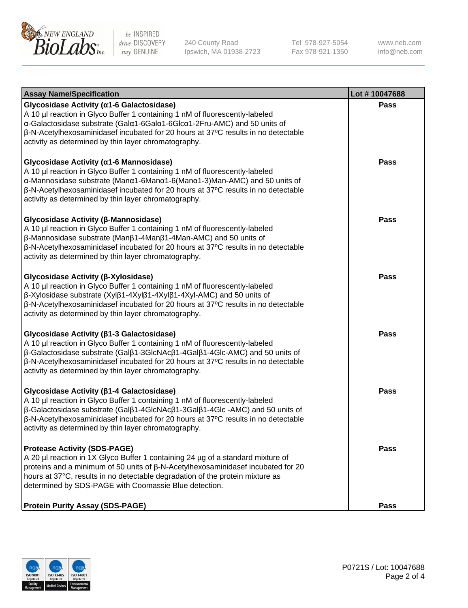

240 County Road Ipswich, MA 01938-2723 Tel 978-927-5054 Fax 978-921-1350 www.neb.com info@neb.com

| <b>Assay Name/Specification</b>                                                                                                                                                                                                                                                                                                                                       | Lot #10047688 |
|-----------------------------------------------------------------------------------------------------------------------------------------------------------------------------------------------------------------------------------------------------------------------------------------------------------------------------------------------------------------------|---------------|
| Glycosidase Activity (a1-6 Galactosidase)<br>A 10 µl reaction in Glyco Buffer 1 containing 1 nM of fluorescently-labeled<br>α-Galactosidase substrate (Galα1-6Galα1-6Glcα1-2Fru-AMC) and 50 units of<br>β-N-Acetylhexosaminidasef incubated for 20 hours at 37°C results in no detectable<br>activity as determined by thin layer chromatography.                     | Pass          |
| Glycosidase Activity (α1-6 Mannosidase)<br>A 10 µl reaction in Glyco Buffer 1 containing 1 nM of fluorescently-labeled<br>α-Mannosidase substrate (Manα1-6Manα1-6(Manα1-3)Man-AMC) and 50 units of<br>β-N-Acetylhexosaminidasef incubated for 20 hours at 37°C results in no detectable<br>activity as determined by thin layer chromatography.                       | <b>Pass</b>   |
| Glycosidase Activity (β-Mannosidase)<br>A 10 µl reaction in Glyco Buffer 1 containing 1 nM of fluorescently-labeled<br>β-Mannosidase substrate (Manβ1-4Manβ1-4Man-AMC) and 50 units of<br>$\beta$ -N-Acetylhexosaminidasef incubated for 20 hours at 37 $\degree$ C results in no detectable<br>activity as determined by thin layer chromatography.                  | <b>Pass</b>   |
| Glycosidase Activity (β-Xylosidase)<br>A 10 µl reaction in Glyco Buffer 1 containing 1 nM of fluorescently-labeled<br>β-Xylosidase substrate (Xylβ1-4Xylβ1-4Xylβ1-4Xyl-AMC) and 50 units of<br>β-N-Acetylhexosaminidasef incubated for 20 hours at 37°C results in no detectable<br>activity as determined by thin layer chromatography.                              | <b>Pass</b>   |
| Glycosidase Activity (β1-3 Galactosidase)<br>A 10 µl reaction in Glyco Buffer 1 containing 1 nM of fluorescently-labeled<br>β-Galactosidase substrate (Galβ1-3GlcNAcβ1-4Galβ1-4Glc-AMC) and 50 units of<br>$\beta$ -N-Acetylhexosaminidasef incubated for 20 hours at 37 $\degree$ C results in no detectable<br>activity as determined by thin layer chromatography. | <b>Pass</b>   |
| Glycosidase Activity (β1-4 Galactosidase)<br>A 10 µl reaction in Glyco Buffer 1 containing 1 nM of fluorescently-labeled<br>β-Galactosidase substrate (Galβ1-4GlcNAcβ1-3Galβ1-4Glc-AMC) and 50 units of<br>β-N-Acetylhexosaminidasef incubated for 20 hours at 37°C results in no detectable<br>activity as determined by thin layer chromatography.                  | <b>Pass</b>   |
| <b>Protease Activity (SDS-PAGE)</b><br>A 20 µl reaction in 1X Glyco Buffer 1 containing 24 µg of a standard mixture of<br>proteins and a minimum of 50 units of $\beta$ -N-Acetylhexosaminidasef incubated for 20<br>hours at 37°C, results in no detectable degradation of the protein mixture as<br>determined by SDS-PAGE with Coomassie Blue detection.           | Pass          |
| <b>Protein Purity Assay (SDS-PAGE)</b>                                                                                                                                                                                                                                                                                                                                | <b>Pass</b>   |

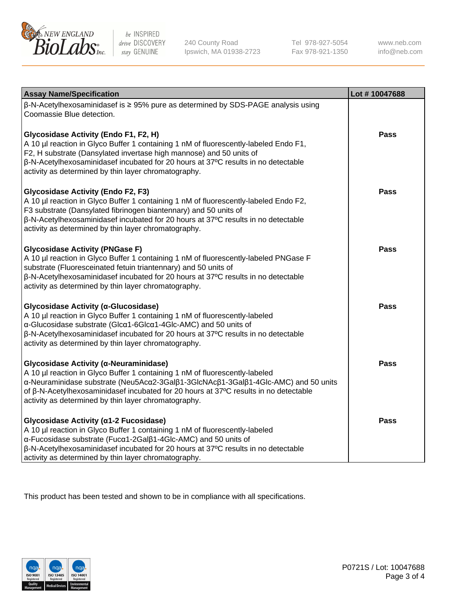

240 County Road Ipswich, MA 01938-2723 Tel 978-927-5054 Fax 978-921-1350 www.neb.com info@neb.com

| <b>Assay Name/Specification</b>                                                                                                                                                                                                                                                                                                                             | Lot #10047688 |
|-------------------------------------------------------------------------------------------------------------------------------------------------------------------------------------------------------------------------------------------------------------------------------------------------------------------------------------------------------------|---------------|
| β-N-Acetylhexosaminidasef is ≥ 95% pure as determined by SDS-PAGE analysis using<br>Coomassie Blue detection.                                                                                                                                                                                                                                               |               |
| Glycosidase Activity (Endo F1, F2, H)<br>A 10 µl reaction in Glyco Buffer 1 containing 1 nM of fluorescently-labeled Endo F1,<br>F2, H substrate (Dansylated invertase high mannose) and 50 units of<br>β-N-Acetylhexosaminidasef incubated for 20 hours at 37°C results in no detectable<br>activity as determined by thin layer chromatography.           | <b>Pass</b>   |
| <b>Glycosidase Activity (Endo F2, F3)</b><br>A 10 µl reaction in Glyco Buffer 1 containing 1 nM of fluorescently-labeled Endo F2,<br>F3 substrate (Dansylated fibrinogen biantennary) and 50 units of<br>β-N-Acetylhexosaminidasef incubated for 20 hours at 37°C results in no detectable<br>activity as determined by thin layer chromatography.          | <b>Pass</b>   |
| <b>Glycosidase Activity (PNGase F)</b><br>A 10 µl reaction in Glyco Buffer 1 containing 1 nM of fluorescently-labeled PNGase F<br>substrate (Fluoresceinated fetuin triantennary) and 50 units of<br>β-N-Acetylhexosaminidasef incubated for 20 hours at 37°C results in no detectable<br>activity as determined by thin layer chromatography.              | <b>Pass</b>   |
| Glycosidase Activity (α-Glucosidase)<br>A 10 µl reaction in Glyco Buffer 1 containing 1 nM of fluorescently-labeled<br>α-Glucosidase substrate (Glcα1-6Glcα1-4Glc-AMC) and 50 units of<br>β-N-Acetylhexosaminidasef incubated for 20 hours at 37°C results in no detectable<br>activity as determined by thin layer chromatography.                         | <b>Pass</b>   |
| Glycosidase Activity (α-Neuraminidase)<br>A 10 µl reaction in Glyco Buffer 1 containing 1 nM of fluorescently-labeled<br>α-Neuraminidase substrate (Neu5Acα2-3Galβ1-3GlcNAcβ1-3Galβ1-4Glc-AMC) and 50 units<br>of β-N-Acetylhexosaminidasef incubated for 20 hours at 37°C results in no detectable<br>activity as determined by thin layer chromatography. | <b>Pass</b>   |
| Glycosidase Activity (α1-2 Fucosidase)<br>A 10 µl reaction in Glyco Buffer 1 containing 1 nM of fluorescently-labeled<br>α-Fucosidase substrate (Fucα1-2Galβ1-4Glc-AMC) and 50 units of<br>β-N-Acetylhexosaminidasef incubated for 20 hours at 37°C results in no detectable<br>activity as determined by thin layer chromatography.                        | <b>Pass</b>   |

This product has been tested and shown to be in compliance with all specifications.